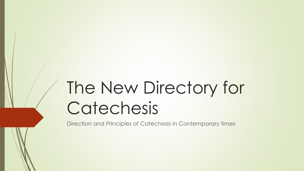# The New Directory for Catechesis

Direction and Principles of Catechesis in Contemporary times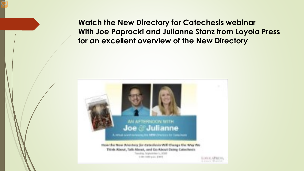**Watch the New Directory for Catechesis webinar With Joe Paprocki and Julianne Stanz from Loyola Press for an excellent overview of the New Directory**

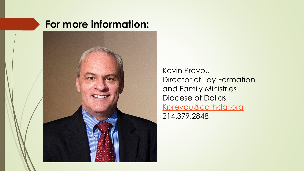### **For more information:**



Kevin Prevou Director of Lay Formation and Family Ministries Diocese of Dallas [Kprevou@cathdal.org](mailto:Kprevou@cathdal.org) 214.379.2848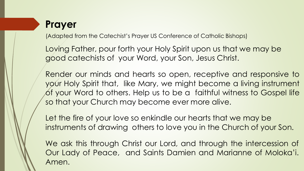### **Prayer**

(Adapted from the Catechist's Prayer US Conference of Catholic Bishops)

Loving Father, pour forth your Holy Spirit upon us that we may be good catechists of your Word, your Son, Jesus Christ.

Render our minds and hearts so open, receptive and responsive to your Holy Spirit that, like Mary, we might become a living instrument of your Word to others. Help us to be a faithful witness to Gospel life so that your Church may become ever more alive.

Let the fire of your love so enkindle our hearts that we may be instruments of drawing others to love you in the Church of your Son.

We ask this through Christ our Lord, and through the intercession of Our Lady of Peace, and Saints Damien and Marianne of Moloka'i. Amen.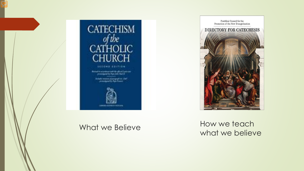

an expert paid its global interest complaint is that light field. and all planning the second conand in Auto France

Promotion of the New Evangelization DIRECTORY FOR CATECHESIS

Pontifical Council for the

What we Believe How we teach what we believe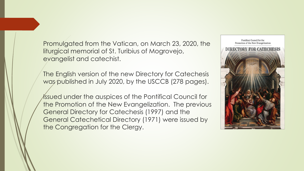Promulgated from the Vatican, on March 23, 2020, the liturgical memorial of St. Turibius of Mogrovejo, evangelist and catechist.

The English version of the new Directory for Catechesis was published in July 2020, by the USCCB (278 pages).

Issued under the auspices of the Pontifical Council for the Promotion of the New Evangelization. The previous General Directory for Catechesis (1997) and the General Catechetical Directory (1971) were issued by the Congregation for the Clergy.

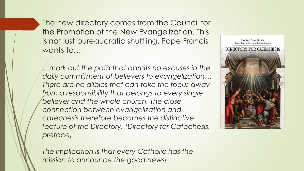The new directory comes from the Council for the Promotion of the New Evangelization. This is not just bureaucratic shuffling. Pope Francis wants to...

*…mark out the path that admits no excuses in the daily commitment of believers to evangelization… There are no alibies that can take the focus away from a responsibility that belongs to every single believer and the whole church. The close connection between evangelization and catechesis therefore becomes the distinctive feature of the Directory. (Directory for Catechesis, preface)*



*The implication is that every Catholic has the mission to announce the good news!*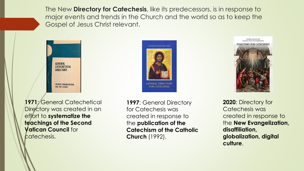The New **Directory for Catechesis**, like its predecessors, is in response to major events and trends in the Church and the world so as to keep the Gospel of Jesus Christ relevant.



CONGREGATION FOR THE CLERGY **GENERAL DIRECTORY FOR CATECHESIS** 

**1971**: General Catechetical Directory was created in an effort to **systematize the teachings of the Second Vatican Council** for catechesis.

**1997**: General Directory for Catechesis was created in response to the **publication of the Catechism of the Catholic Church** (1992).



**2020**: Directory for Catechesis was created in response to the **New Evangelization, disaffiliation, globalization, digital culture**.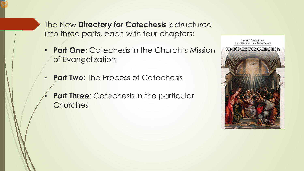The New **Directory for Catechesis** is structured into three parts, each with four chapters:

- **Part One**: Catechesis in the Church's Mission of Evangelization
- **Part Two**: The Process of Catechesis
- **Part Three:** Catechesis in the particular Churches

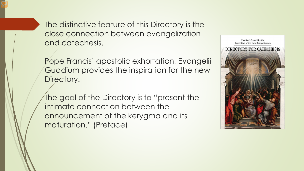The distinctive feature of this Directory is the close connection between evangelization and catechesis.

Pope Francis' apostolic exhortation, Evangelii Guadium provides the inspiration for the new Directory.

The goal of the Directory is to "present the intimate connection between the announcement of the kerygma and its maturation." (Preface)

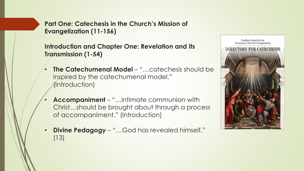**Introduction and Chapter One: Revelation and its Transmission (1-54)**

- **The Catechumenal Model "...catechesis should be** inspired by the catechumenal model." (Introduction)
- **Accompaniment** "…intimate communion with Christ…should be brought about through a process of accompaniment." (Introduction)
- **Divine Pedagogy "...God has revealed himself."** (13)

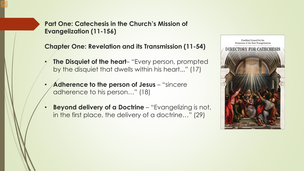**Chapter One: Revelation and its Transmission (11-54)**

- **The Disquiet of the heart–** "Every person, prompted by the disquiet that dwells within his heart..." (17)
- Adherence to the person of Jesus "sincere adherence to his person…" (18)
- **Beyond delivery of a Doctrine** "Evangelizing is not, in the first place, the delivery of a doctrine…" (29)

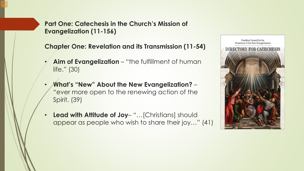**Chapter One: Revelation and its Transmission (11-54)**

- **Aim of Evangelization "the fulfillment of human** life." (30)
- **What's "New" About the New Evangelization?**  "ever more open to the renewing action of the Spirit. (39)
- **Lead with Attitude of Joy** "…[Christians] should appear as people who wish to share their joy…" (41)

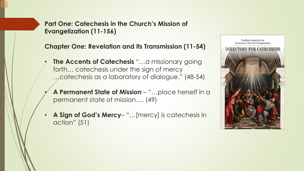**Chapter One: Revelation and its Transmission (11-54)**

- **The Accents of Catechesis** "...a missionary going forth… catechesis under the sign of mercy …catechesis as a laboratory of dialogue." (48-54)
- **A Permanent State of Mission**  "…place herself in a permanent state of mission…. (49)
- **A Sign of God's Mercy** "…[mercy] is catechesis in action" (51)

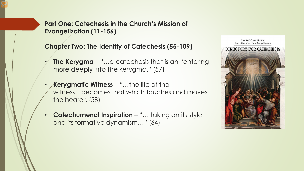#### **Chapter Two: The Identity of Catechesis (55-109)**

- **The Kerygma**  "…a catechesis that is an "entering more deeply into the kerygma." (57)
- **Kerygmatic Witness**  "…the life of the witness…becomes that which touches and moves the hearer. (58)
- **Catechumenal Inspiration** "... taking on its style and its formative dynamism…" (64)

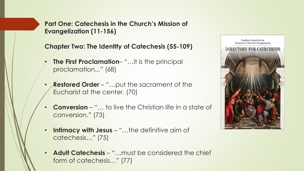**Chapter Two: The Identity of Catechesis (55-109)**

- **The First Proclamation–** "...it is the principal proclamation..." (68)
- **Restored Order** "...put the sacrament of the Eucharist at the center. (70)
- **Conversion**  "… to live the Christian life in a state of conversion." (73)
- **Intimacy with Jesus "...the definitive aim of** catechesis…" (75)
- **Adult Catechesis**  "…must be considered the chief form of catechesis…" (77)

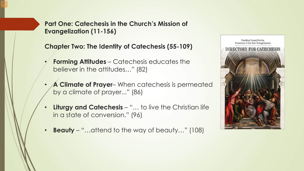#### **Chapter Two: The Identity of Catechesis (55-109)**

- **Forming Attitudes**  Catechesis educates the believer in the attitudes…" (82)
- **A Climate of Prayer** When catechesis is permeated by a climate of prayer..." (86)
- **Liturgy and Catechesis** "... to live the Christian life in a state of conversion." (96)
- **Beauty**  "…attend to the way of beauty…" (108)

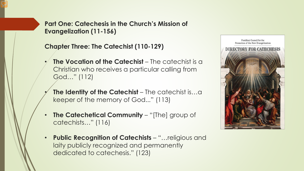**Chapter Three: The Catechist (110-129)**

- **The Vocation of the Catechist** The catechist is a Christian who receives a particular calling from God…" (112)
- **The Identity of the Catechist** The catechist is...a keeper of the memory of God..." (113)
- **The Catechetical Community** "[The] group of catechists…" (116)
- **Public Recognition of Catechists**  "…religious and laity publicly recognized and permanently dedicated to catechesis." (123)

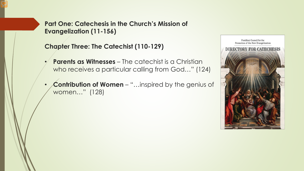#### **Chapter Three: The Catechist (110-129)**

- **Parents as Witnesses** The catechist is a Christian who receives a particular calling from God…" (124)
- **Contribution of Women**  "…inspired by the genius of women…" (128)

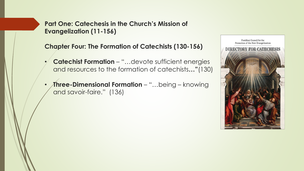**Chapter Four: The Formation of Catechists (130-156)**

- **Catechist Formation**  "…devote sufficient energies and resources to the formation of catechists**…"**(130)
- **Three-Dimensional Formation**  "…being knowing and savoir-faire." (136)

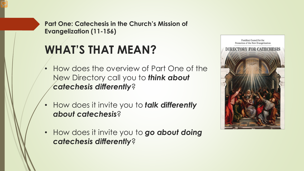## **WHAT'S THAT MEAN?**

- How does the overview of Part One of the New Directory call you to *think about catechesis differently*?
- How does it invite you to *talk differently about catechesis*?
- How does it invite you to *go about doing catechesis differently*?

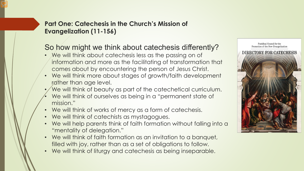### So how might we think about catechesis differently?

- We will think about catechesis less as the passing on of information and more as the facilitating of transformation that comes about by encountering the person of Jesus Christ.
- We will think more about stages of growth/faith development rather than age level.
- We will think of beauty as part of the catechetical curriculum.
- We will think of ourselves as being in a "permanent state of mission."
- We will think of works of mercy as a form of catechesis.
- We will think of catechists as mystagogues.
- We will help parents think of faith formation without falling into a "mentality of delegation."
- We will think of faith formation as an invitation to a banquet, filled with joy, rather than as a set of obligations to follow.
- We will think of liturgy and catechesis as being inseparable.

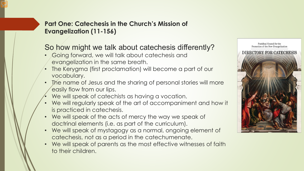### So how might we talk about catechesis differently?

- Going forward, we will talk about catechesis and evangelization in the same breath.
- The Kerygma (first proclamation) will become a part of our vocabulary.
- The name of Jesus and the sharing of personal stories will more easily flow from our lips.
- We will speak of catechists as having a vocation.
- We will regularly speak of the art of accompaniment and how it is practiced in catechesis.
- We will speak of the acts of mercy the way we speak of doctrinal elements (i.e. as part of the curriculum).
- We will speak of mystagogy as a normal, ongoing element of catechesis, not as a period in the catechumenate.
- We will speak of parents as the most effective witnesses of faith to their children.

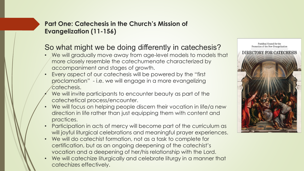#### So what might we be doing differently in catechesis?

- We will gradually move away from age-level models to models that more closely resemble the catechumenate characterized by accompaniment and stages of growth.
- Every aspect of our catechesis will be powered by the "first proclamation" - i.e. we will engage in a more evangelizing catechesis.
- We will invite participants to encounter beauty as part of the catechetical process/encounter.
- We will focus on helping people discern their vocation in life/a new direction in life rather than just equipping them with content and practices.
- Participation in acts of mercy will become part of the curriculum as will joyful liturgical celebrations and meaningful prayer experiences.
- We will do catechist formation, not as a task to complete for certification, but as an ongoing deepening of the catechist's vocation and a deepening of her/his relationship with the Lord.
- We will catechize liturgically and celebrate liturgy in a manner that catechizes effectively.

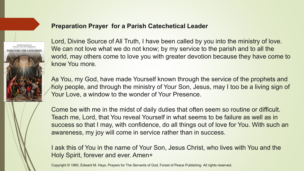#### **Preparation Prayer for a Parish Catechetical Leader**



Lord, Divine Source of All Truth, I have been called by you into the ministry of love. We can not love what we do not know; by my service to the parish and to all the world, may others come to love you with greater devotion because they have come to know You more.

As You, my God, have made Yourself known through the service of the prophets and holy people, and through the ministry of Your Son, Jesus, may I too be a living sign of Your Love, a window to the wonder of Your Presence.

Come be with me in the midst of daily duties that often seem so routine or difficult. Teach me, Lord, that You reveal Yourself in what seems to be failure as well as in success so that I may, with confidence, do all things out of love for You. With such an awareness, my joy will come in service rather than in success.

I ask this of You in the name of Your Son, Jesus Christ, who lives with You and the Holy Spirit, forever and ever. Amen+

Copyright © 1980, Edward M. Hays, Prayers for The Servants of God, Forest of Peace Publishing. All rights reserved.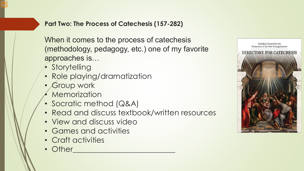When it comes to the process of catechesis (methodology, pedagogy, etc.) one of my favorite approaches is…

- Storytelling
- Role playing/dramatization
- Group work
- **Memorization**
- Socratic method (Q&A)
- Read and discuss textbook/written resources
- View and discuss video
- Games and activities
- Craft activities
- Other

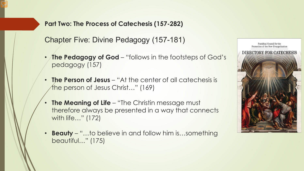Chapter Five: Divine Pedagogy (157-181)

- **The Pedagogy of God**  "follows in the footsteps of God's pedagogy (157)
- **The Person of Jesus**  "At the center of all catechesis is the person of Jesus Christ…" (169)
- **The Meaning of Life "The Christin message must"** therefore always be presented in a way that connects with life…" (172)
- **Beauty** "…to believe in and follow him is…something beautiful…" (175)

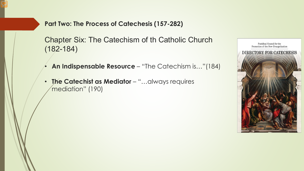Chapter Six: The Catechism of th Catholic Church (182-184)

- **An Indispensable Resource**  "The Catechism is…"(184)
- **The Catechist as Mediator**  "…always requires mediation" (190)

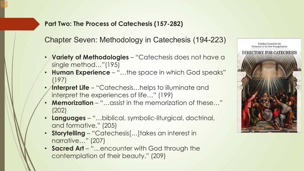Chapter Seven: Methodology in Catechesis (194-223)

- **Variety of Methodologies**  "Catechesis does not have a single method…"(195)
- **Human Experience**  "…the space in which God speaks" (197)
- **Interpret Life** "Catechesis...helps to illuminate and interpret the experiences of life…" (199)
- **Memorization**  "…assist in the memorization of these…" (202)
- **Languages**  "…biblical, symbolic-liturgical, doctrinal, and formative." (205)
- **Storytelling**  "Catechesis[…]takes an interest in narrative…" (207)
- **Sacred Art**  "…encounter with God through the contemplation of their beauty." (209)

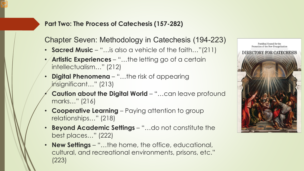Chapter Seven: Methodology in Catechesis (194-223)

- **Sacred Music**  "…is also a vehicle of the faith…"(211)
- **Artistic Experiences**  "…the letting go of a certain intellectualism…" (212)
- **Digital Phenomena**  "…the risk of appearing insignificant…" (213)
- **Caution about the Digital World "...can leave profound** marks…" (216)
- **Cooperative Learning** Paying attention to group relationships…" (218)
- **Beyond Academic Settings**  "…do not constitute the best places…" (222)
- **New Settings**  "…the home, the office, educational, cultural, and recreational environments, prisons, etc." (223)

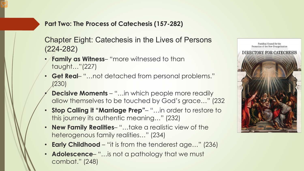Chapter Eight: Catechesis in the Lives of Persons (224-282)

- **Family as Witness** "more witnessed to than taught…"(227)
- **Get Real** "…not detached from personal problems." (230)
- **Decisive Moments** "...in which people more readily allow themselves to be touched by God's grace…" (232
- **Stop Calling it "Marriage Prep"** "…in order to restore to this journey its authentic meaning…" (232)
- **New Family Realities** "…take a realistic view of the heterogenous family realities…" (234)
- **Early Childhood**  "it is from the tenderest age…" (236)
- **Adolescence** "…is not a pathology that we must combat." (248)

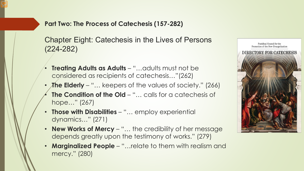Chapter Eight: Catechesis in the Lives of Persons (224-282)

- **Treating Adults as Adults "... adults must not be** considered as recipients of catechesis…"(262)
- **The Elderly** "... keepers of the values of society." (266)
- **The Condition of the Old "... calls for a catechesis of** hope…" (267)
- **Those with Disabilities**  "… employ experiential dynamics…" (271)
- **New Works of Mercy**  "… the credibility of her message depends greatly upon the testimony of works." (279)
- **Marginalized People**  "…relate to them with realism and mercy." (280)

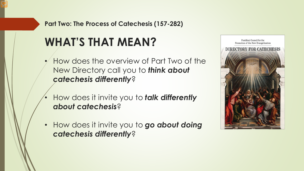### **WHAT'S THAT MEAN?**

- How does the overview of Part Two of the New Directory call you to *think about catechesis differently*?
- How does it invite you to *talk differently about catechesis*?
- How does it invite you to *go about doing catechesis differently*?

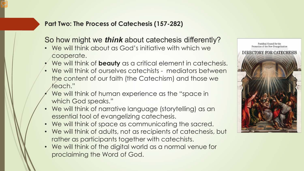#### So how might we *think* about catechesis differently?

- We will think about as God's initiative with which we cooperate.
- We will think of **beauty** as a critical element in catechesis.
- We will think of ourselves catechists mediators between the content of our faith (the Catechism) and those we teach."
- We will think of human experience as the "space in which God speaks."
- We will think of narrative language (storytelling) as an essential tool of evangelizing catechesis.
- We will think of space as communicating the sacred.
- We will think of adults, not as recipients of catechesis, but rather as participants together with catechists.
- We will think of the digital world as a normal venue for proclaiming the Word of God.

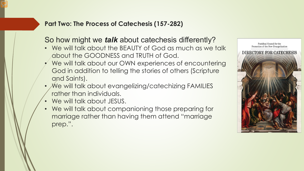#### So how might we *talk* about catechesis differently?

- We will talk about the BEAUTY of God as much as we talk about the GOODNESS and TRUTH of God.
- We will talk about our OWN experiences of encountering God in addition to telling the stories of others (Scripture and Saints).
- We will talk about evangelizing/catechizing FAMILIES rather than individuals.
- We will talk about JESUS.
- We will talk about companioning those preparing for marriage rather than having them attend "marriage prep.".

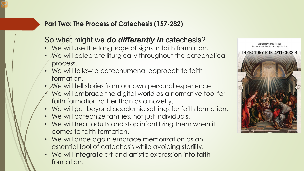#### So what might we *do differently in* catechesis?

- We will use the language of signs in faith formation.
- We will celebrate liturgically throughout the catechetical process.
- We will follow a catechumenal approach to faith formation.
- We will tell stories from our own personal experience.
- We will embrace the digital world as a normative tool for faith formation rather than as a novelty.
- We will get beyond academic settings for faith formation.
- We will catechize families, not just individuals.
- We will treat adults and stop infantilizing them when it comes to faith formation.
- We will once again embrace memorization as an essential tool of catechesis while avoiding sterility.
- We will integrate art and artistic expression into faith formation.

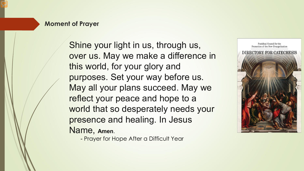#### **Moment of Prayer**

Shine your light in us, through us, over us. May we make a difference in this world, for your glory and purposes. Set your way before us. May all your plans succeed. May we reflect your peace and hope to a world that so desperately needs your presence and healing. In Jesus Name, **Amen**.

Pontifical Council for the Promotion of the New Evangelization **DIRECTORY FOR CATECHESIS** 

- Prayer for Hope After a Difficult Year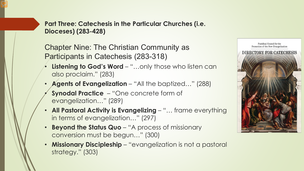Chapter Nine: The Christian Community as Participants in Catechesis (283-318)

- **Listening to God's Word "...only those who listen can** also proclaim." (283)
- **Agents of Evangelization** "All the baptized..." (288)
- **Synodal Practice**  "One concrete form of evangelization…" (289)
- **All Pastoral Activity is Evangelizing**  "… frame everything in terms of evangelization…" (297)
- **Beyond the Status Quo** "A process of missionary conversion must be begun…" (300)
- **Missionary Discipleship**  "evangelization is not a pastoral strategy." (303)

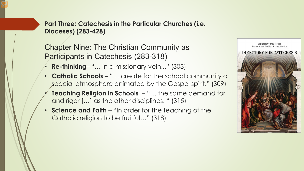Chapter Nine: The Christian Community as Participants in Catechesis (283-318)

- **Re-thinking** "… in a missionary vein..." (303)
- **Catholic Schools**  "… create for the school community a special atmosphere animated by the Gospel spirit." (309)
- **Teaching Religion in Schools**  "… the same demand for and rigor […] as the other disciplines. " (315)
- **Science and Faith**  "In order for the teaching of the Catholic religion to be fruitful…" (318)

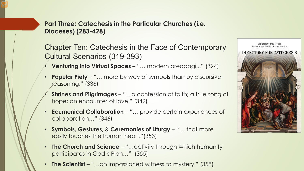Chapter Ten: Catechesis in the Face of Contemporary Cultural Scenarios (319-393)

- **Venturing into Virtual Spaces**  "… modern areopagi..." (324)
- **Popular Piety**  "… more by way of symbols than by discursive reasoning." (336)
- **Shrines and Pilgrimages**  "…a confession of faith; a true song of hope; an encounter of love." (342)
- **Ecumenical Collaboration**  "… provide certain experiences of collaboration…" (346)
- **Symbols, Gestures, & Ceremonies of Liturgy**  "… that more easily touches the human heart."(353)
- **The Church and Science**  "…activity through which humanity participates in God's Plan…" (355)
- **The Scientist** "...an impassioned witness to mystery." (358)

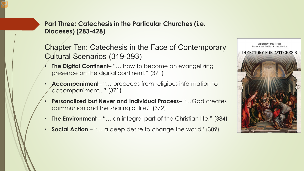Chapter Ten: Catechesis in the Face of Contemporary Cultural Scenarios (319-393)

- **The Digital Continent** "… how to become an evangelizing presence on the digital continent." (371)
- **Accompaniment** "… proceeds from religious information to accompaniment..." (371)
- **Personalized but Never and Individual Process** "…God creates communion and the sharing of life." (372)
- **The Environment** "... an integral part of the Christian life." (384)
- **Social Action** "... a deep desire to change the world."(389)

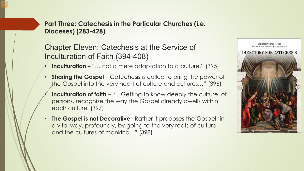Chapter Eleven: Catechesis at the Service of Inculturation of Faith (394-408)

- **Inculturation**  "… not a mere adaptation to a culture." (395)
- **Sharing the Gospel** Catechesis is called to bring the power of the Gospel into the very heart of culture and cultures…" (396)
- **Inculturation of faith** "...Getting to know deeply the culture of persons, recognize the way the Gospel already dwells within each culture. (397)
- **The Gospel is not Decorative** Rather it proposes the Gospel 'in a vital way, profoundly, by going to the very roots of culture and the cultures of mankind.'." (398)

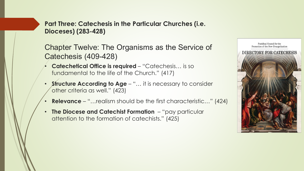Chapter Twelve: The Organisms as the Service of Catechesis (409-428)

- **Catechetical Office is required**  "Catechesis… is so fundamental to the life of the Church." (417)
- **Structure According to Age**  "… it is necessary to consider other criteria as well." (423)
- **Relevance**  "…realism should be the first characteristic…" (424)
- **The Diocese and Catechist Formation**  "pay particular attention to the formation of catechists." (425)